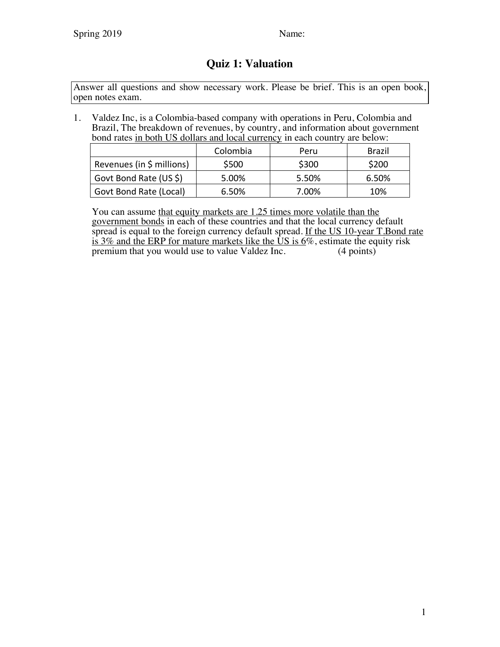## **Quiz 1: Valuation**

Answer all questions and show necessary work. Please be brief. This is an open book, open notes exam.

1. Valdez Inc, is a Colombia-based company with operations in Peru, Colombia and Brazil, The breakdown of revenues, by country, and information about government bond rates in both US dollars and local currency in each country are below:

|                           | Colombia | Peru  | <b>Brazil</b> |
|---------------------------|----------|-------|---------------|
| Revenues (in \$ millions) | \$500    | \$300 | \$200         |
| Govt Bond Rate (US \$)    | 5.00%    | 5.50% | 6.50%         |
| Govt Bond Rate (Local)    | 6.50%    | 7.00% | 10%           |

You can assume that equity markets are 1.25 times more volatile than the government bonds in each of these countries and that the local currency default spread is equal to the foreign currency default spread. If the US 10-year T.Bond rate is 3% and the ERP for mature markets like the  $\overline{US}$  is  $\overline{6\%}$ , estimate the equity risk premium that you would use to value Valdez Inc. (4 points) premium that you would use to value Valdez Inc.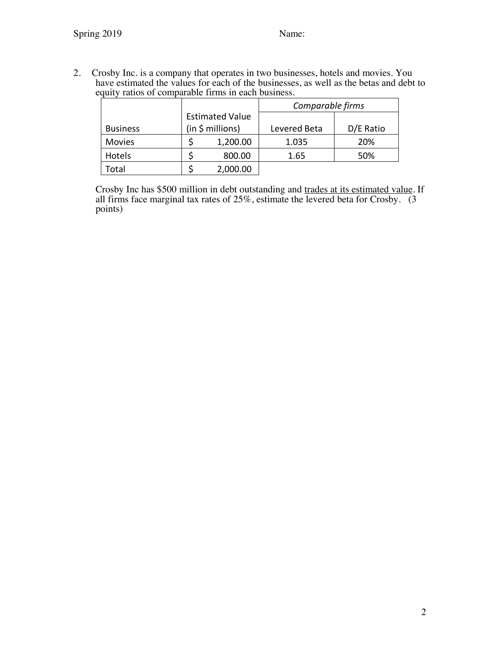2. Crosby Inc. is a company that operates in two businesses, hotels and movies. You have estimated the values for each of the businesses, as well as the betas and debt to equity ratios of comparable firms in each business.

|                 | <b>Estimated Value</b><br>(in \$ millions) |          | Comparable firms |           |  |
|-----------------|--------------------------------------------|----------|------------------|-----------|--|
|                 |                                            |          |                  |           |  |
| <b>Business</b> |                                            |          | Levered Beta     | D/E Ratio |  |
| <b>Movies</b>   |                                            | 1,200.00 | 1.035            | 20%       |  |
| Hotels          |                                            | 800.00   | 1.65             | 50%       |  |
| Гоtal           |                                            | 2,000.00 |                  |           |  |

Crosby Inc has \$500 million in debt outstanding and trades at its estimated value. If all firms face marginal tax rates of 25%, estimate the levered beta for Crosby. (3 points)